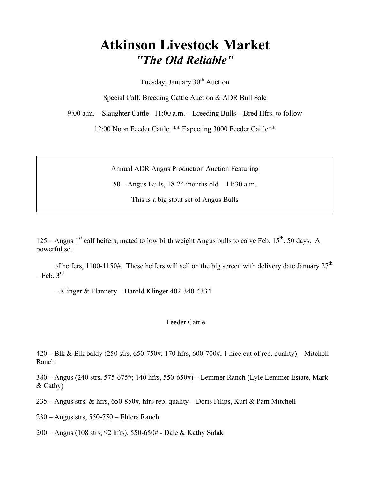# Atkinson Livestock Market "The Old Reliable"

Tuesday, January  $30<sup>th</sup>$  Auction

Special Calf, Breeding Cattle Auction & ADR Bull Sale

9:00 a.m. – Slaughter Cattle 11:00 a.m. – Breeding Bulls – Bred Hfrs. to follow

12:00 Noon Feeder Cattle \*\* Expecting 3000 Feeder Cattle\*\*

Annual ADR Angus Production Auction Featuring

50 – Angus Bulls, 18-24 months old 11:30 a.m.

This is a big stout set of Angus Bulls

125 – Angus 1<sup>st</sup> calf heifers, mated to low birth weight Angus bulls to calve Feb. 15<sup>th</sup>, 50 days. A powerful set

of heifers, 1100-1150#. These heifers will sell on the big screen with delivery date January  $27<sup>th</sup>$  $-$  Feb.  $3^{rd}$ 

– Klinger & Flannery Harold Klinger 402-340-4334

#### Feeder Cattle

420 – Blk & Blk baldy (250 strs, 650-750#; 170 hfrs, 600-700#, 1 nice cut of rep. quality) – Mitchell Ranch

380 – Angus (240 strs, 575-675#; 140 hfrs, 550-650#) – Lemmer Ranch (Lyle Lemmer Estate, Mark & Cathy)

235 – Angus strs. & hfrs, 650-850#, hfrs rep. quality – Doris Filips, Kurt & Pam Mitchell

230 – Angus strs, 550-750 – Ehlers Ranch

200 – Angus (108 strs; 92 hfrs), 550-650# - Dale & Kathy Sidak